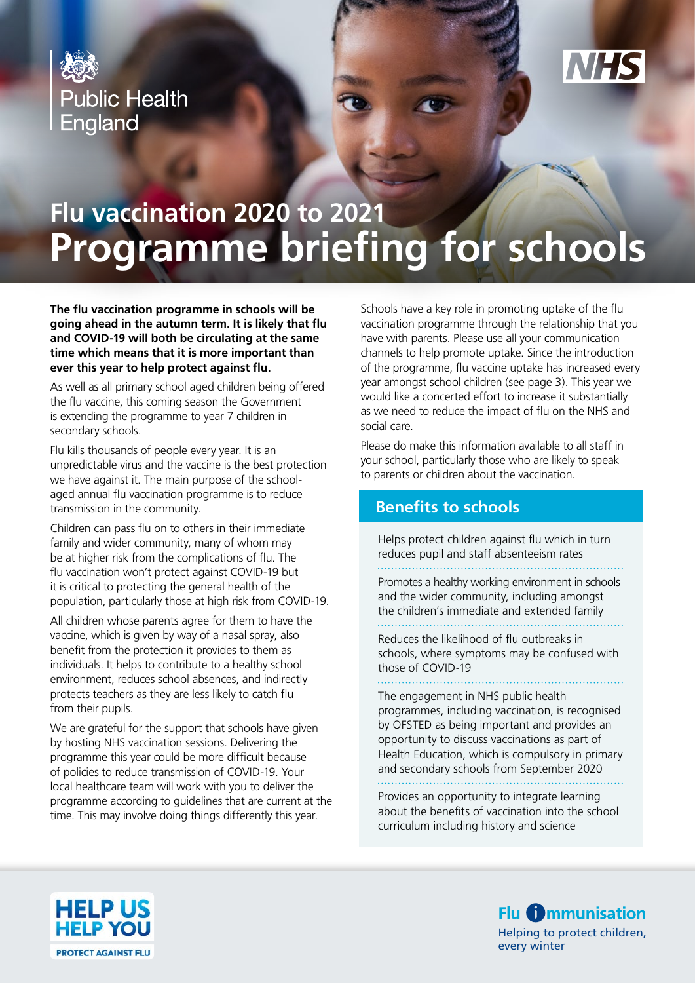



# **Flu vaccination 2020 to 2021 Programme briefing for schools**

**The flu vaccination programme in schools will be going ahead in the autumn term. It is likely that flu and COVID-19 will both be circulating at the same time which means that it is more important than ever this year to help protect against flu.**

As well as all primary school aged children being offered the flu vaccine, this coming season the Government is extending the programme to year 7 children in secondary schools.

Flu kills thousands of people every year. It is an unpredictable virus and the vaccine is the best protection we have against it. The main purpose of the schoolaged annual flu vaccination programme is to reduce transmission in the community.

Children can pass flu on to others in their immediate family and wider community, many of whom may be at higher risk from the complications of flu. The flu vaccination won't protect against COVID-19 but it is critical to protecting the general health of the population, particularly those at high risk from COVID-19.

All children whose parents agree for them to have the vaccine, which is given by way of a nasal spray, also benefit from the protection it provides to them as individuals. It helps to contribute to a healthy school environment, reduces school absences, and indirectly protects teachers as they are less likely to catch flu from their pupils.

We are grateful for the support that schools have given by hosting NHS vaccination sessions. Delivering the programme this year could be more difficult because of policies to reduce transmission of COVID-19. Your local healthcare team will work with you to deliver the programme according to guidelines that are current at the time. This may involve doing things differently this year.

Schools have a key role in promoting uptake of the flu vaccination programme through the relationship that you have with parents. Please use all your communication channels to help promote uptake. Since the introduction of the programme, flu vaccine uptake has increased every year amongst school children (see page 3). This year we would like a concerted effort to increase it substantially as we need to reduce the impact of flu on the NHS and social care.

Please do make this information available to all staff in your school, particularly those who are likely to speak to parents or children about the vaccination.

# **Benefits to schools**

Helps protect children against flu which in turn reduces pupil and staff absenteeism rates

Promotes a healthy working environment in schools and the wider community, including amongst the children's immediate and extended family

Reduces the likelihood of flu outbreaks in schools, where symptoms may be confused with those of COVID-19

The engagement in NHS public health programmes, including vaccination, is recognised by OFSTED as being important and provides an opportunity to discuss vaccinations as part of Health Education, which is compulsory in primary and secondary schools from September 2020

Provides an opportunity to integrate learning about the benefits of vaccination into the school curriculum including history and science



**Flu <b>C** mmunisation Helping to protect children, every winter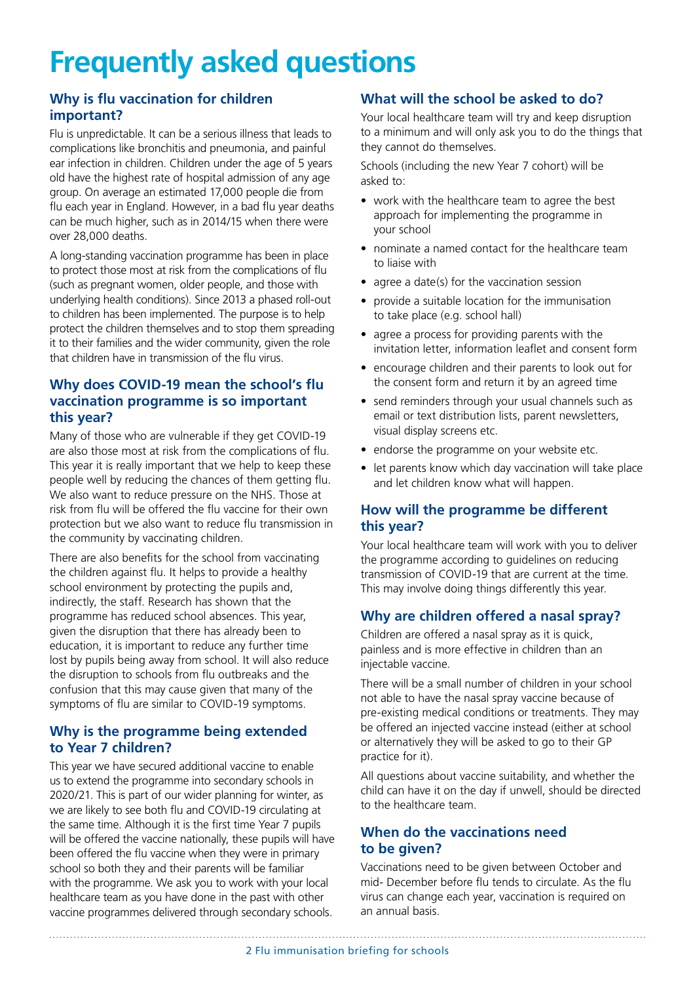# **Frequently asked questions**

## **Why is flu vaccination for children important?**

Flu is unpredictable. It can be a serious illness that leads to complications like bronchitis and pneumonia, and painful ear infection in children. Children under the age of 5 years old have the highest rate of hospital admission of any age group. On average an estimated 17,000 people die from flu each year in England. However, in a bad flu year deaths can be much higher, such as in 2014/15 when there were over 28,000 deaths.

A long-standing vaccination programme has been in place to protect those most at risk from the complications of flu (such as pregnant women, older people, and those with underlying health conditions). Since 2013 a phased roll-out to children has been implemented. The purpose is to help protect the children themselves and to stop them spreading it to their families and the wider community, given the role that children have in transmission of the flu virus.

## **Why does COVID-19 mean the school's flu vaccination programme is so important this year?**

Many of those who are vulnerable if they get COVID-19 are also those most at risk from the complications of flu. This year it is really important that we help to keep these people well by reducing the chances of them getting flu. We also want to reduce pressure on the NHS. Those at risk from flu will be offered the flu vaccine for their own protection but we also want to reduce flu transmission in the community by vaccinating children.

There are also benefits for the school from vaccinating the children against flu. It helps to provide a healthy school environment by protecting the pupils and, indirectly, the staff. Research has shown that the programme has reduced school absences. This year, given the disruption that there has already been to education, it is important to reduce any further time lost by pupils being away from school. It will also reduce the disruption to schools from flu outbreaks and the confusion that this may cause given that many of the symptoms of flu are similar to COVID-19 symptoms.

#### **Why is the programme being extended to Year 7 children?**

This year we have secured additional vaccine to enable us to extend the programme into secondary schools in 2020/21. This is part of our wider planning for winter, as we are likely to see both flu and COVID-19 circulating at the same time. Although it is the first time Year 7 pupils will be offered the vaccine nationally, these pupils will have been offered the flu vaccine when they were in primary school so both they and their parents will be familiar with the programme. We ask you to work with your local healthcare team as you have done in the past with other vaccine programmes delivered through secondary schools.

# **What will the school be asked to do?**

Your local healthcare team will try and keep disruption to a minimum and will only ask you to do the things that they cannot do themselves.

Schools (including the new Year 7 cohort) will be asked to:

- work with the healthcare team to agree the best approach for implementing the programme in your school
- nominate a named contact for the healthcare team to liaise with
- agree a date(s) for the vaccination session
- provide a suitable location for the immunisation to take place (e.g. school hall)
- agree a process for providing parents with the invitation letter, information leaflet and consent form
- encourage children and their parents to look out for the consent form and return it by an agreed time
- send reminders through your usual channels such as email or text distribution lists, parent newsletters, visual display screens etc.
- endorse the programme on your website etc.
- let parents know which day vaccination will take place and let children know what will happen.

## **How will the programme be different this year?**

Your local healthcare team will work with you to deliver the programme according to guidelines on reducing transmission of COVID-19 that are current at the time. This may involve doing things differently this year.

# **Why are children offered a nasal spray?**

Children are offered a nasal spray as it is quick, painless and is more effective in children than an injectable vaccine.

There will be a small number of children in your school not able to have the nasal spray vaccine because of pre-existing medical conditions or treatments. They may be offered an injected vaccine instead (either at school or alternatively they will be asked to go to their GP practice for it).

All questions about vaccine suitability, and whether the child can have it on the day if unwell, should be directed to the healthcare team.

# **When do the vaccinations need to be given?**

Vaccinations need to be given between October and mid- December before flu tends to circulate. As the flu virus can change each year, vaccination is required on an annual basis.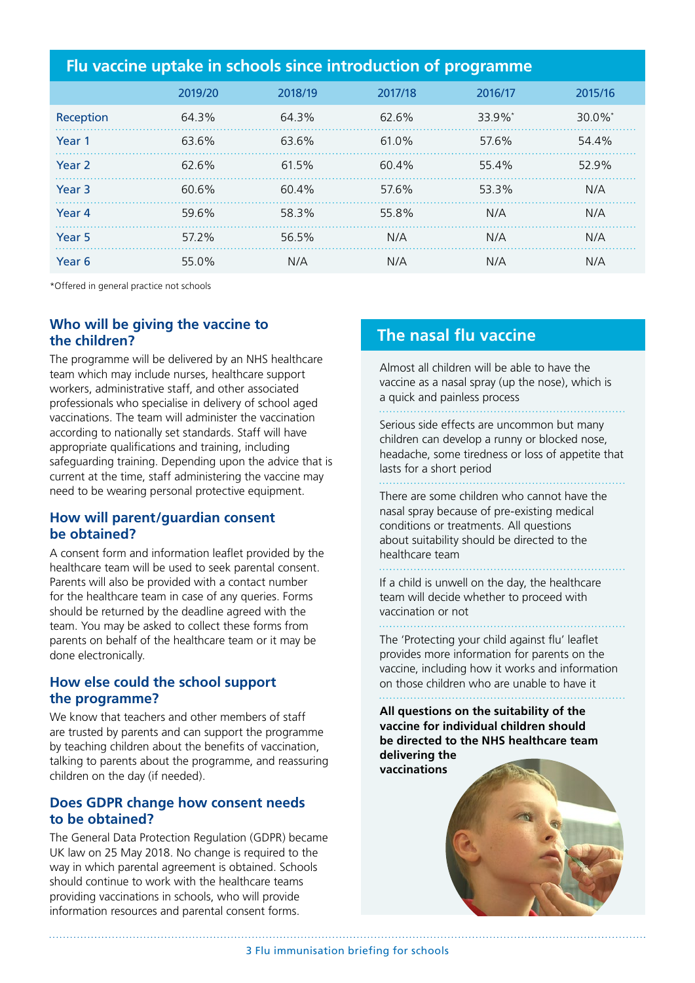| Flu vaccine uptake in schools since introduction of programme |         |          |         |         |                       |
|---------------------------------------------------------------|---------|----------|---------|---------|-----------------------|
|                                                               | 2019/20 | 2018/19  | 2017/18 | 2016/17 | 2015/16               |
| Reception                                                     | 64.3%   | 64.3%    | 62.6%   | 33.9%*  | $30.0\%$ <sup>*</sup> |
| Year 1                                                        | 63.6%   | 63.6%    | 61.0%   | 57.6%   | 54.4%                 |
| Year <sub>2</sub>                                             | 62.6%   | 61.5%    | 60.4%   | 55.4%   | 52.9%                 |
| Year <sub>3</sub>                                             | 60.6%   | $60.4\%$ | 57.6%   | 53.3%   | N/A                   |
| Year 4                                                        | 59.6%   | 58.3%    | 55.8%   | N/A     | N/A                   |
| Year <sub>5</sub>                                             | 57.2%   | 56.5%    | N/A     | N/A     | N/A                   |
| Year <sub>6</sub>                                             | 55.0%   | N/A      | N/A     | N/A     | N/A                   |

\*Offered in general practice not schools

# **Who will be giving the vaccine to the children?**

The programme will be delivered by an NHS healthcare team which may include nurses, healthcare support workers, administrative staff, and other associated professionals who specialise in delivery of school aged vaccinations. The team will administer the vaccination according to nationally set standards. Staff will have appropriate qualifications and training, including safeguarding training. Depending upon the advice that is current at the time, staff administering the vaccine may need to be wearing personal protective equipment.

#### **How will parent/guardian consent be obtained?**

A consent form and information leaflet provided by the healthcare team will be used to seek parental consent. Parents will also be provided with a contact number for the healthcare team in case of any queries. Forms should be returned by the deadline agreed with the team. You may be asked to collect these forms from parents on behalf of the healthcare team or it may be done electronically.

#### **How else could the school support the programme?**

We know that teachers and other members of staff are trusted by parents and can support the programme by teaching children about the benefits of vaccination, talking to parents about the programme, and reassuring children on the day (if needed).

## **Does GDPR change how consent needs to be obtained?**

The General Data Protection Regulation (GDPR) became UK law on 25 May 2018. No change is required to the way in which parental agreement is obtained. Schools should continue to work with the healthcare teams providing vaccinations in schools, who will provide information resources and parental consent forms.

# **The nasal flu vaccine**

Almost all children will be able to have the vaccine as a nasal spray (up the nose), which is a quick and painless process

Serious side effects are uncommon but many children can develop a runny or blocked nose, headache, some tiredness or loss of appetite that lasts for a short period . . . . . . . . . . . . . . . . . . . .

There are some children who cannot have the nasal spray because of pre-existing medical conditions or treatments. All questions about suitability should be directed to the healthcare team

If a child is unwell on the day, the healthcare team will decide whether to proceed with vaccination or not

The 'Protecting your child against flu' leaflet provides more information for parents on the vaccine, including how it works and information on those children who are unable to have it

**All questions on the suitability of the vaccine for individual children should be directed to the NHS healthcare team delivering the vaccinations**



3 Flu immunisation briefing for schools